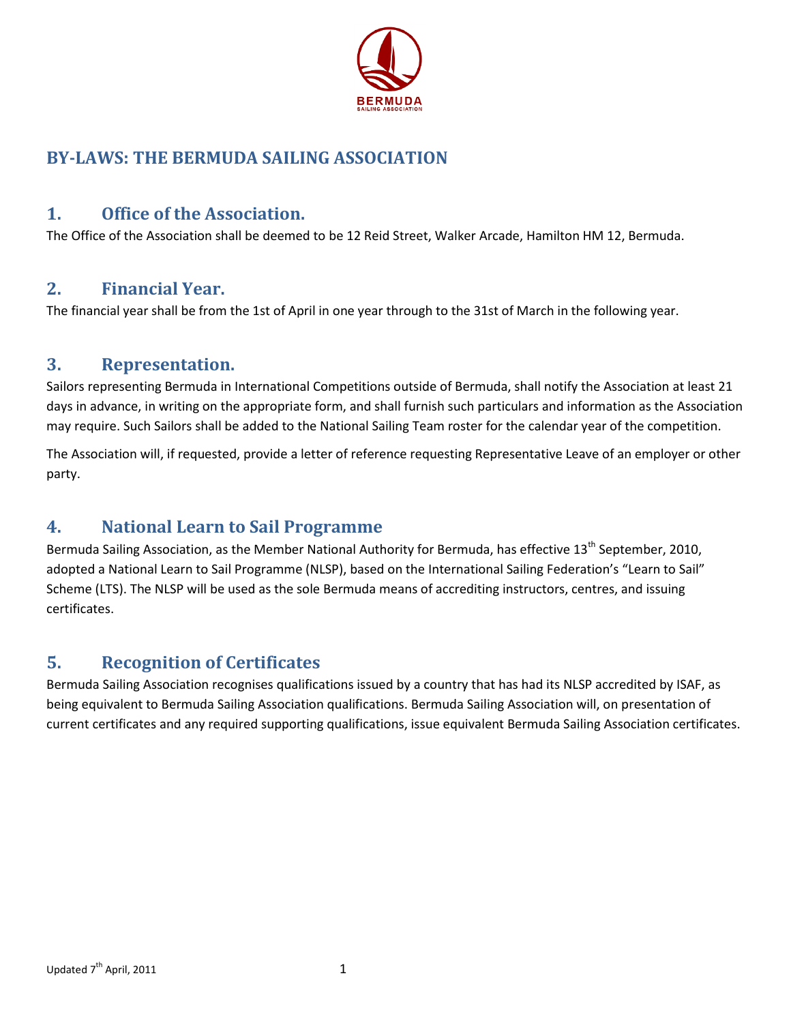

# **BY-LAWS: THE BERMUDA SAILING ASSOCIATION**

## **1. Office of the Association.**

The Office of the Association shall be deemed to be 12 Reid Street, Walker Arcade, Hamilton HM 12, Bermuda.

### **2. Financial Year.**

The financial year shall be from the 1st of April in one year through to the 31st of March in the following year.

### **3. Representation.**

Sailors representing Bermuda in International Competitions outside of Bermuda, shall notify the Association at least 21 days in advance, in writing on the appropriate form, and shall furnish such particulars and information as the Association may require. Such Sailors shall be added to the National Sailing Team roster for the calendar year of the competition.

The Association will, if requested, provide a letter of reference requesting Representative Leave of an employer or other party.

## **4. National Learn to Sail Programme**

Bermuda Sailing Association, as the Member National Authority for Bermuda, has effective 13<sup>th</sup> September, 2010. adopted a National Learn to Sail Programme (NLSP), based on the International Sailing Federation's "Learn to Sail" Scheme (LTS). The NLSP will be used as the sole Bermuda means of accrediting instructors, centres, and issuing certificates.

## **5. Recognition of Certificates**

Bermuda Sailing Association recognises qualifications issued by a country that has had its NLSP accredited by ISAF, as being equivalent to Bermuda Sailing Association qualifications. Bermuda Sailing Association will, on presentation of current certificates and any required supporting qualifications, issue equivalent Bermuda Sailing Association certificates.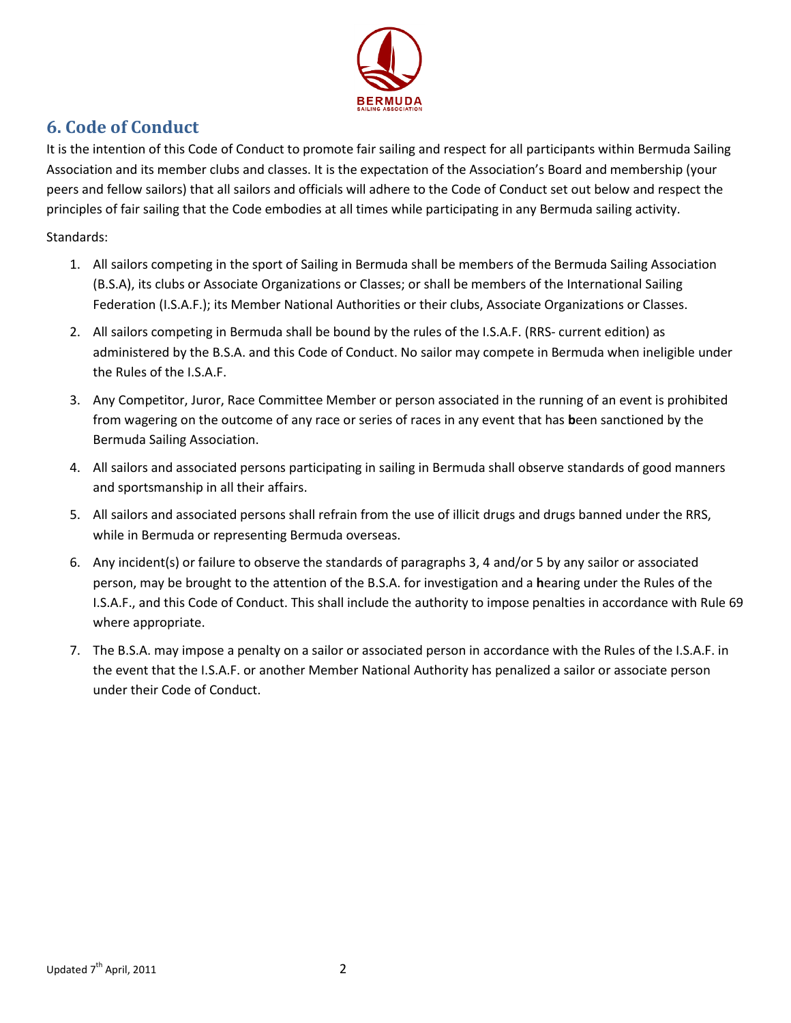

# **6. Code of Conduct**

It is the intention of this Code of Conduct to promote fair sailing and respect for all participants within Bermuda Sailing Association and its member clubs and classes. It is the expectation of the Association's Board and membership (your peers and fellow sailors) that all sailors and officials will adhere to the Code of Conduct set out below and respect the principles of fair sailing that the Code embodies at all times while participating in any Bermuda sailing activity.

#### Standards:

- 1. All sailors competing in the sport of Sailing in Bermuda shall be members of the Bermuda Sailing Association (B.S.A), its clubs or Associate Organizations or Classes; or shall be members of the International Sailing Federation (I.S.A.F.); its Member National Authorities or their clubs, Associate Organizations or Classes.
- 2. All sailors competing in Bermuda shall be bound by the rules of the I.S.A.F. (RRS- current edition) as administered by the B.S.A. and this Code of Conduct. No sailor may compete in Bermuda when ineligible under the Rules of the I.S.A.F.
- 3. Any Competitor, Juror, Race Committee Member or person associated in the running of an event is prohibited from wagering on the outcome of any race or series of races in any event that has **b**een sanctioned by the Bermuda Sailing Association.
- 4. All sailors and associated persons participating in sailing in Bermuda shall observe standards of good manners and sportsmanship in all their affairs.
- 5. All sailors and associated persons shall refrain from the use of illicit drugs and drugs banned under the RRS, while in Bermuda or representing Bermuda overseas.
- 6. Any incident(s) or failure to observe the standards of paragraphs 3, 4 and/or 5 by any sailor or associated person, may be brought to the attention of the B.S.A. for investigation and a **h**earing under the Rules of the I.S.A.F., and this Code of Conduct. This shall include the authority to impose penalties in accordance with Rule 69 where appropriate.
- 7. The B.S.A. may impose a penalty on a sailor or associated person in accordance with the Rules of the I.S.A.F. in the event that the I.S.A.F. or another Member National Authority has penalized a sailor or associate person under their Code of Conduct.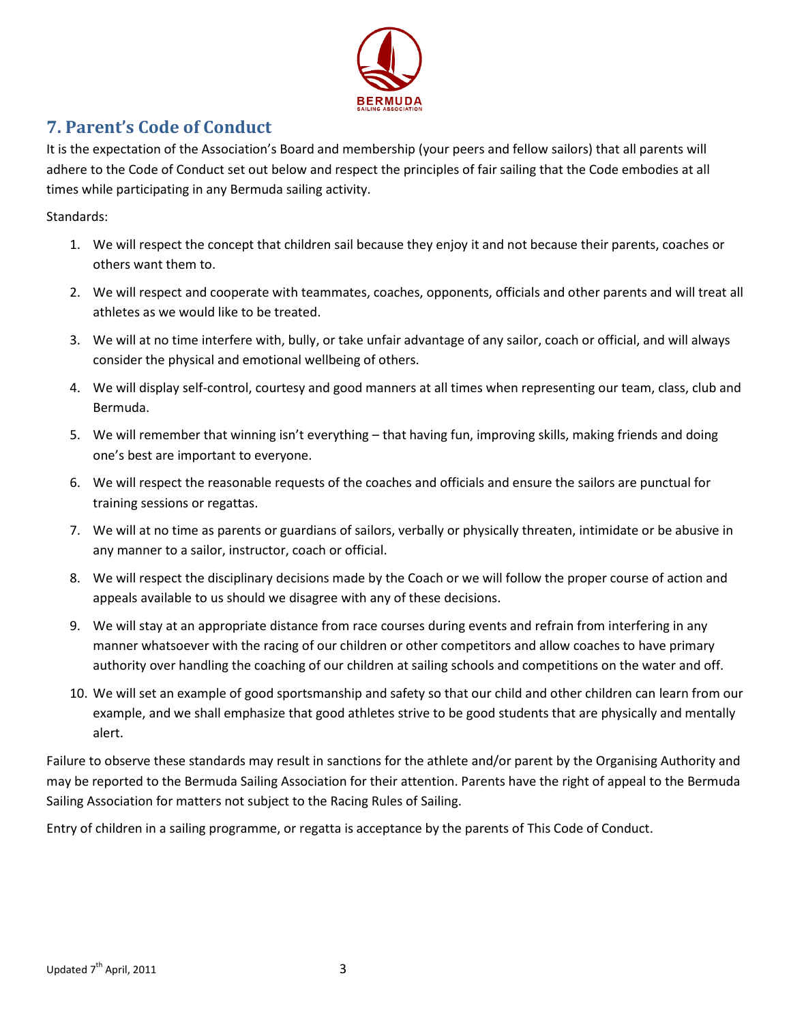

## **7. Parent's Code of Conduct**

It is the expectation of the Association's Board and membership (your peers and fellow sailors) that all parents will adhere to the Code of Conduct set out below and respect the principles of fair sailing that the Code embodies at all times while participating in any Bermuda sailing activity.

Standards:

- 1. We will respect the concept that children sail because they enjoy it and not because their parents, coaches or others want them to.
- 2. We will respect and cooperate with teammates, coaches, opponents, officials and other parents and will treat all athletes as we would like to be treated.
- 3. We will at no time interfere with, bully, or take unfair advantage of any sailor, coach or official, and will always consider the physical and emotional wellbeing of others.
- 4. We will display self-control, courtesy and good manners at all times when representing our team, class, club and Bermuda.
- 5. We will remember that winning isn't everything that having fun, improving skills, making friends and doing one's best are important to everyone.
- 6. We will respect the reasonable requests of the coaches and officials and ensure the sailors are punctual for training sessions or regattas.
- 7. We will at no time as parents or guardians of sailors, verbally or physically threaten, intimidate or be abusive in any manner to a sailor, instructor, coach or official.
- 8. We will respect the disciplinary decisions made by the Coach or we will follow the proper course of action and appeals available to us should we disagree with any of these decisions.
- 9. We will stay at an appropriate distance from race courses during events and refrain from interfering in any manner whatsoever with the racing of our children or other competitors and allow coaches to have primary authority over handling the coaching of our children at sailing schools and competitions on the water and off.
- 10. We will set an example of good sportsmanship and safety so that our child and other children can learn from our example, and we shall emphasize that good athletes strive to be good students that are physically and mentally alert.

Failure to observe these standards may result in sanctions for the athlete and/or parent by the Organising Authority and may be reported to the Bermuda Sailing Association for their attention. Parents have the right of appeal to the Bermuda Sailing Association for matters not subject to the Racing Rules of Sailing.

Entry of children in a sailing programme, or regatta is acceptance by the parents of This Code of Conduct.